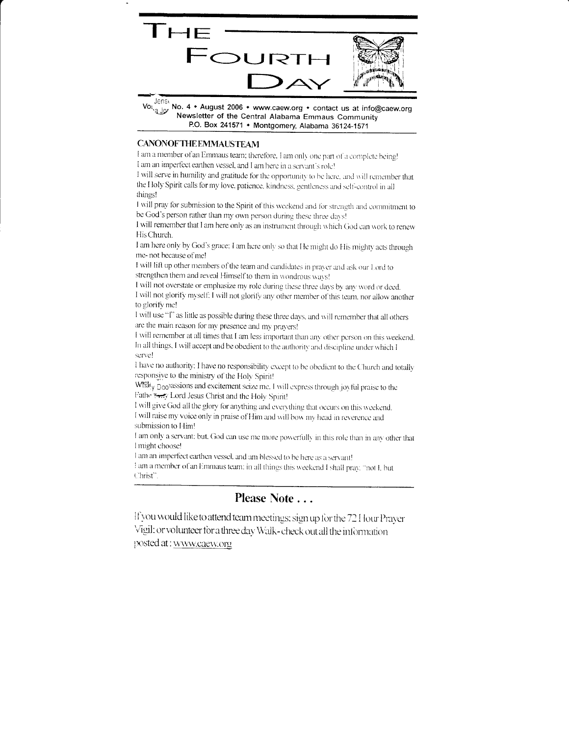

Volve you No. 4 • August 2006 • www.caew.org • contact us at info@caew.org Newsletter of the Central Alabama Emmaus Community P.O. Box 241571 • Montgomery, Alabama 36124-1571

#### **CANONOFTHE EMMAUSTEAM**

I am a member of an Emmaus team; therefore. I am only one part of a complete being! I am an imperfect earthen vessel, and I am here in a servant's role!

I will serve in humility and gratitude for the opportunity to be here, and will remember that the Holy Spirit calls for my love, patience, kindness, gentleness and self-control in all things!

I will pray for submission to the Spirit of this weekend and for strength and commitment to be God's person rather than my own person during these three days!

I will remember that I am here only as an instrument through which God can work to renew His Church.

I am here only by God's grace; I am here only so that He might do His mighty acts through me-not because of me!

I will lift up other members of the team and candidates in prayer and ask our Lord to strengthen them and reveal Himself to them in wondrous ways!

I will not overstate or emphasize my role during these three days by any word or deed. I will not glorify myself; I will not glorify any other member of this team, nor allow another to glorify me!

I will use "I" as little as possible during these three days, and will remember that all others are the main reason for my presence and my prayers!

I will remember at all times that I am less important than any other person on this weekend. In all things, I will accept and be obedient to the authority and discipline under which I serve!

I have no authority; I have no responsibility except to be obedient to the Church and totally responsive to the ministry of the Holy Spirit!

What v Doopassions and excitement seize me. I will express through joyful praise to the Fathe 7-7 Lord Jesus Christ and the Holy Spirit!

I will give God all the glory for anything and everything that occurs on this weekend. I will raise my voice only in praise of Him and will bow my head in reverence and submission to Him!

I am only a servant; but, God can use me more powerfully in this role than in any other that I might choose!

I am an imperfect earthen vessel, and am blessed to be here as a servant!

I am a member of an Emmaus team: in all things this weekend I shall pray. "not I, but Christ"

## Please Note . . .

If you would like to attend team meetings; sign up for the 72 Hour Prayer Vigil: or volunteer for a three day Walk-check out all the information posted at: www.caew.org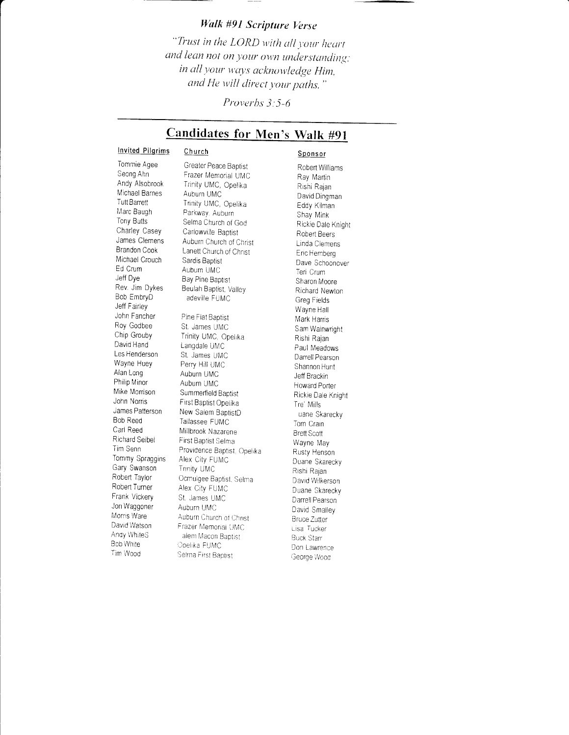### Walk #91 Scripture Verse

"Trust in the LORD with all your heart and lean not on your own understanding: in all your ways acknowledge Him, and He will direct your paths."

Proverbs 3:5-6

# Candidates for Men's Walk #91

#### **Invited Pilgrims** Church

#### Sponsor

Tommie Agee Seong Ahn Andy Alsobrook Michael Barnes **Tutt Barrett** Marc Baugh Tony Butts Charley Casey James Clemens Brandon Cook Michael Crouch Ed Crum Jeff Dve Rev. Jim Dykes Bob EmbryD Jeff Fairley John Fancher Roy Godbee Chip Grouby David Hand Les Henderson Wayne Huey Alan Long Philip Minor Mike Morrison John Norris James Patterson Bob Reed Carl Reed Richard Seibel Tim Senn Tommy Spraggins Gary Swanson Robert Taylor Robert Turner Frank Vickery Jon Waggoner Morris Ware David Watson Anay WhiteS **Bob White** Tim Wood

Greater Peace Baptist Frazer Memorial UMC Trinity UMC, Opelika Auburn UMC Trinity UMC, Opelika Parkway, Auburn Selma Church of God Carlowville Baptist Auburn Church of Christ Lanett Church of Christ Sardis Baptist Auburn UMC Bay Pine Baptist Beulah Baptist, Valley adeville FUMC Pine Flat Baptist St. James UMC Trinity UMC, Opelika Langdale UMC St. James UMC Perry Hill UMC Auburn UMC Auburn UMC Summerfield Baptist First Baptist Opelika New Salem BaptistD Tallassee FUMC Millbrook Nazarene First Baptist Selma Providence Baptist, Opelika Alex City FUMC **Trinity UMC** Ocmulgee Baptist, Selma Alex City FUMC St. James UMC Auburn UMC Auburn Church of Christ Frazer Memorial UMC alem Macon Baptist Opelika FUMC Selma First Baptist

Robert Williams Ray Martin Rishi Rajan David Dingman Eddy Kilman Shay Mink Rickie Dale Knight Robert Beers Linda Clemens Eric Hemberg Dave Schoonover Teri Crum Sharon Moore Richard Newton Greg Fields Wavne Hall Mark Harris Sam Wainwright Rishi Rajan Paul Meadows Darrell Pearson Shannon Hunt Jeff Brackin Howard Porter Rickie Dale Knight Tre' Mills uane Skarecky Tom Crain **Brett Scott** Wayne May Rusty Henson Duane Skarecky Rishi Rajan David Wilkerson Duane Skarecky Darrell Pearson David Smalley **Bruce Zutter** Lisa Tucker **Buck Starr** Don Lawrence George Wood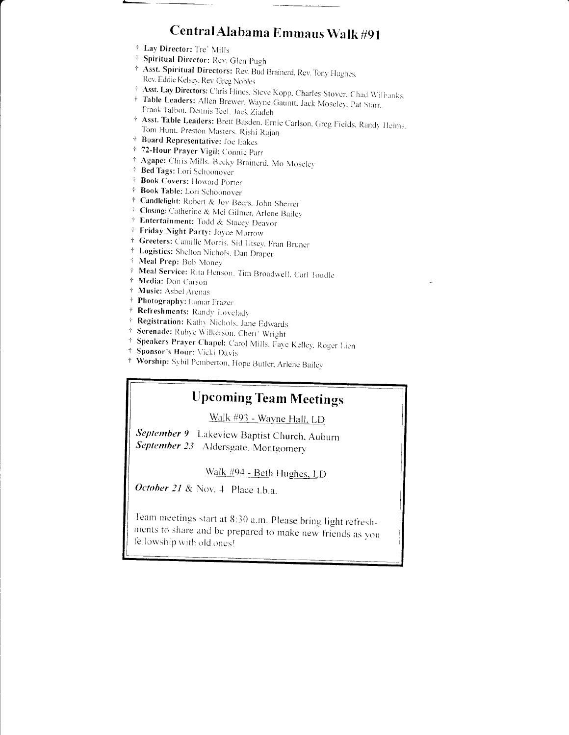# Central Alabama Emmaus Walk #91

- † Lay Director: Tre' Mills
- <sup>†</sup> Spiritual Director: Rev. Glen Pugh
- \* Asst. Spiritual Directors: Rev. Bud Brainerd, Rev. Tony Hughes, Rev. Eddie Kelsey, Rev. Greg Nobles
- † Asst. Lay Directors: Chris Hines, Steve Kopp, Charles Stover, Chad Wilbanks, † Table Leaders: Allen Brewer, Wayne Gauntt, Jack Moseley, Pat Starr,
- Frank Talbot, Dennis Teel, Jack Ziadeh
- † Asst. Table Leaders: Brett Basden, Ernie Carlson, Greg Fields, Randy Helms, Tom Hunt, Preston Masters, Rishi Rajan
- + Board Representative: Joe Eakes
- \* 72-Hour Prayer Vigil: Connie Parr
- <sup>†</sup> Agape: Chris Mills. Becky Brainerd, Mo Moseley
- † Bed Tags: Lori Schoonover
- <sup>†</sup> Book Covers: Howard Porter
- † Book Table: Lori Schoonover
- <sup>†</sup> Candlelight: Robert & Joy Beers, John Sherrer
- + Closing: Catherine & Mel Gilmer, Arlene Bailey
- + Entertainment: Todd & Stacey Deavor
- † Friday Night Party: Joyce Morrow
- <sup>†</sup> Greeters: Camille Morris, Sid Utsey, Fran Bruner
- † Logistics: Shelton Nichols, Dan Draper
- † Meal Prep: Bob Money
- † Meal Service: Rita Henson. Tim Broadwell, Carl Toodle
- † Media: Don Carson
- † Music: Asbel Arenas
- † Photography: Lamar Frazer
- † Refreshments: Randy Lovelady
- † Registration: Kathy Nichols, Jane Edwards
- † Serenade: Rubye Wilkerson, Cheri' Wright
- \* Speakers Prayer Chapel: Carol Mills, Faye Kelley, Roger Lien
- † Sponsor's Hour: Vicki Davis
- † Worship: Sybil Pemberton, Hope Butler, Arlene Bailey

# **Upcoming Team Meetings**

Walk #93 - Wayne Hall, LD

September 9 Lakeview Baptist Church, Auburn September 23 Aldersgate, Montgomery

Walk #94 - Beth Hughes, LD

October 21 & Nov. 4 Place t.b.a.

Team meetings start at 8:30 a.m. Please bring light refreshments to share and be prepared to make new friends as you fellowship with old ones!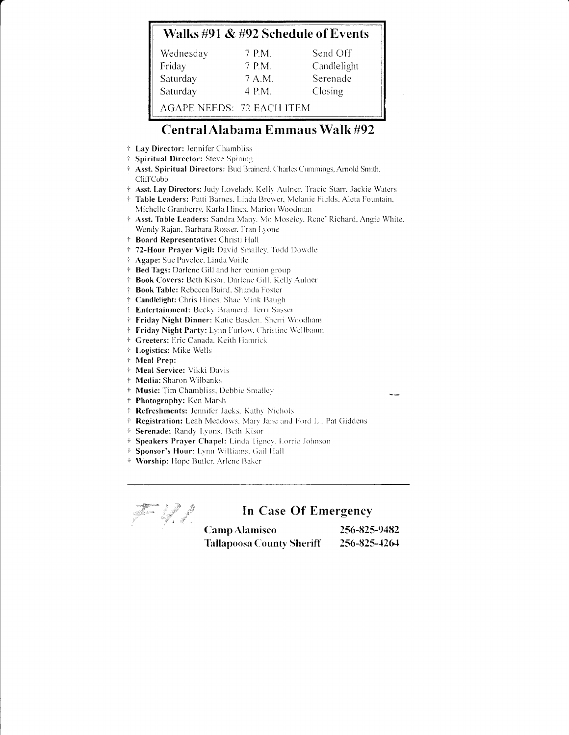## Walks #91 & #92 Schedule of Events

| Wednesday                        | 7 P.M. | Send Off    |
|----------------------------------|--------|-------------|
| Friday                           | 7 P.M. | Candlelight |
| Saturday                         | 7 A.M. | Serenade    |
| Saturday                         | 4 P.M. | Closing     |
| <b>AGAPE NEEDS: 72 EACH ITEM</b> |        |             |

# Central Alabama Emmaus Walk #92

- † Lay Director: Jennifer Chambliss
- † Spiritual Director: Steve Spining
- † Asst. Spiritual Directors: Bud Brainerd. Charles Cummings, Arnold Smith. CliffCobb
- † Asst. Lay Directors: Judy Lovelady, Kelly Aulner. Tracie Starr. Jackie Waters
- † Table Leaders: Patti Barnes, Linda Brewer, Melanie Fields, Aleta Fountain, Michelle Granberry, Karla Hines, Marion Woodman
- † Asst. Table Leaders: Sandra Many. Mo Moseley. Rene' Richard, Angie White, Wendy Rajan, Barbara Rosser, Fran Lyone
- † Board Representative: Christi Hall
- † 72-Hour Prayer Vigil: David Smalley, Todd Dowdle
- † Agape: Sue Pavelec, Linda Voitle
- † Bed Tags: Darlene Gill and her reunion group
- † Book Covers: Beth Kisor, Darlene Gill, Kelly Aulner
- † Book Table: Rebecca Baird, Shanda Foster
- † Candlelight: Chris Hines, Shae Mink Baugh
- † Entertainment: Becky Brainerd, Terri Sasser
- † Friday Night Dinner: Katie Basden, Sherri Woodham
- † Friday Night Party: Lynn Furlow. Christine Wellbaum
- + Greeters: Eric Canada, Keith Hamrick
- <sup>†</sup> Logistics: Mike Wells
- † Meal Prep:
- \* Meal Service: Vikki Davis
- † Media: Sharon Wilbanks
- # Music: Tim Chambliss, Debbie Smalley
- † Photography: Ken Marsh
- † Refreshments: Jennifer Jacks, Kathy Nichols
- † Registration: Leah Meadows, Mary Jane and Ford L., Pat Giddens
- † Serenade: Randy Lyons, Beth Kisor
- Speakers Prayer Chapel: Linda Tigney, Lorrie Johnson  $\dot{\tau}$
- Sponsor's Hour: Lynn Williams, Gail Hall
- Worship: Hope Butler, Arlene Baker

friend the Company of the Company of the Company of the Company of the Company of the Company of the Company of the Company of the Company of the Company of the Company of the Company of the Company of the Company of the C

### In Case Of Emergency

| <b>Camp Alamisco</b>             | 256-825-9482 |
|----------------------------------|--------------|
| <b>Tallapoosa County Sheriff</b> | 256-825-4264 |